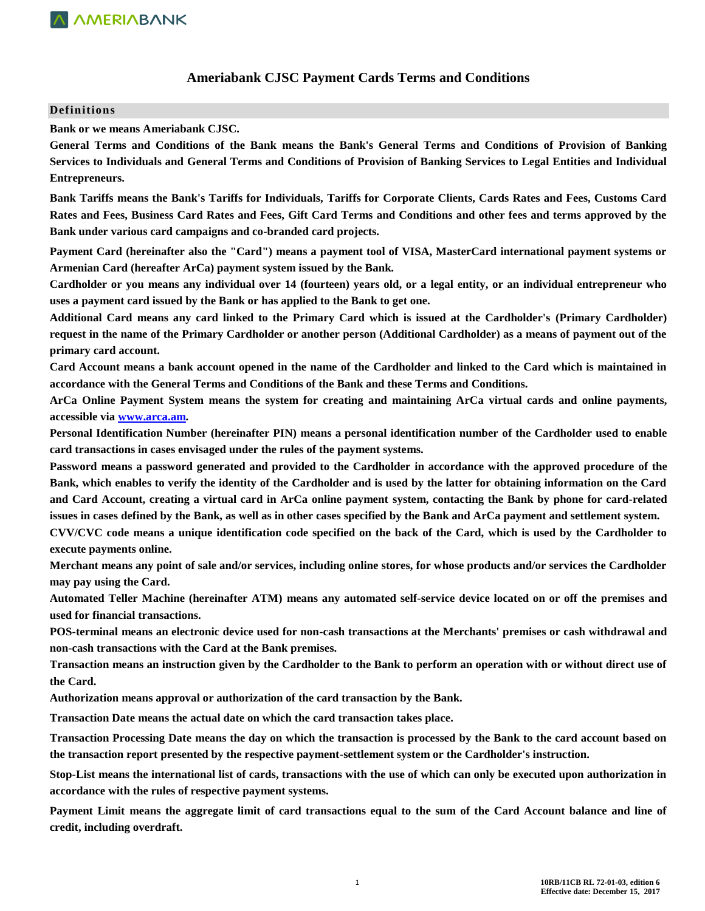### **Ameriabank CJSC Payment Cards Terms and Conditions**

#### **Definitions**

**Bank or we means Ameriabank CJSC.**

**General Terms and Conditions of the Bank means the Bank's General Terms and Conditions of Provision of Banking Services to Individuals and General Terms and Conditions of Provision of Banking Services to Legal Entities and Individual Entrepreneurs.**

**Bank Tariffs means the Bank's Tariffs for Individuals, Tariffs for Corporate Clients, Cards Rates and Fees, Customs Card Rates and Fees, Business Card Rates and Fees, Gift Card Terms and Conditions and other fees and terms approved by the Bank under various card campaigns and co-branded card projects.** 

**Payment Card (hereinafter also the "Card") means a payment tool of VISA, MasterCard international payment systems or Armenian Card (hereafter ArCa) payment system issued by the Bank.**

**Cardholder or you means any individual over 14 (fourteen) years old, or a legal entity, or an individual entrepreneur who uses a payment card issued by the Bank or has applied to the Bank to get one.**

**Additional Card means any card linked to the Primary Card which is issued at the Cardholder's (Primary Cardholder) request in the name of the Primary Cardholder or another person (Additional Cardholder) as a means of payment out of the primary card account.**

**Card Account means a bank account opened in the name of the Cardholder and linked to the Card which is maintained in accordance with the General Terms and Conditions of the Bank and these Terms and Conditions.**

**ArCa Online Payment System means the system for creating and maintaining ArCa virtual cards and online payments, accessible via [www.arca.am.](http://www.arca.am/)** 

**Personal Identification Number (hereinafter PIN) means a personal identification number of the Cardholder used to enable card transactions in cases envisaged under the rules of the payment systems.**

**Password means a password generated and provided to the Cardholder in accordance with the approved procedure of the Bank, which enables to verify the identity of the Cardholder and is used by the latter for obtaining information on the Card and Card Account, creating a virtual card in ArCa online payment system, contacting the Bank by phone for card-related issues in cases defined by the Bank, as well as in other cases specified by the Bank and ArCa payment and settlement system.**

**CVV/CVC code means a unique identification code specified on the back of the Card, which is used by the Cardholder to execute payments online.** 

**Merchant means any point of sale and/or services, including online stores, for whose products and/or services the Cardholder may pay using the Card.**

**Automated Teller Machine (hereinafter ATM) means any automated self-service device located on or off the premises and used for financial transactions.**

**POS-terminal means an electronic device used for non-cash transactions at the Merchants' premises or cash withdrawal and non-cash transactions with the Card at the Bank premises.**

**Transaction means an instruction given by the Cardholder to the Bank to perform an operation with or without direct use of the Card.**

**Authorization means approval or authorization of the card transaction by the Bank.**

**Transaction Date means the actual date on which the card transaction takes place.**

**Transaction Processing Date means the day on which the transaction is processed by the Bank to the card account based on the transaction report presented by the respective payment-settlement system or the Cardholder's instruction.**

**Stop-List means the international list of cards, transactions with the use of which can only be executed upon authorization in accordance with the rules of respective payment systems.** 

**Payment Limit means the aggregate limit of card transactions equal to the sum of the Card Account balance and line of credit, including overdraft.**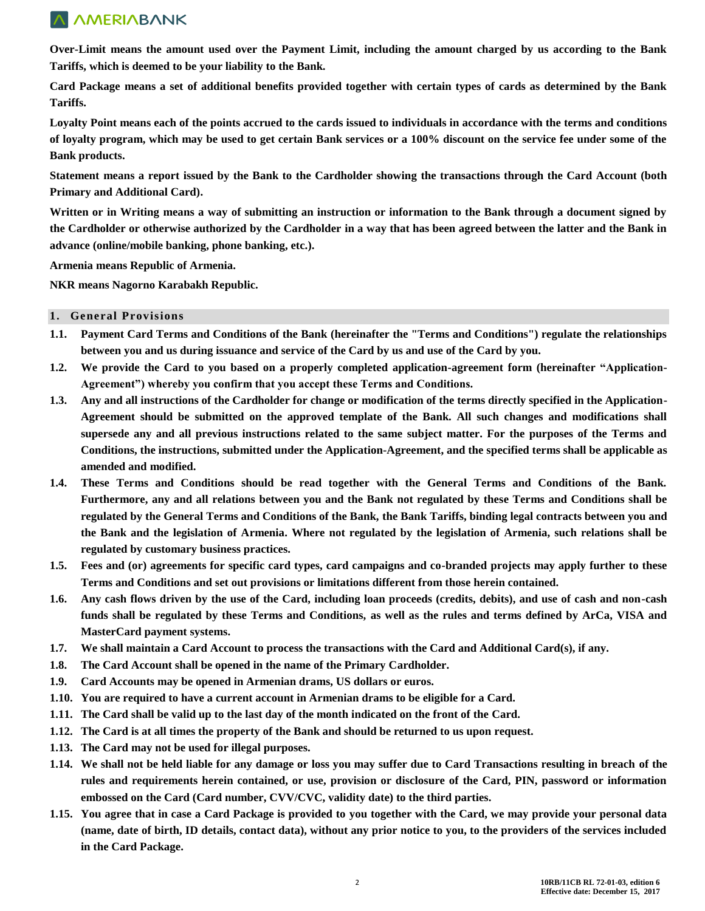**Over-Limit means the amount used over the Payment Limit, including the amount charged by us according to the Bank Tariffs, which is deemed to be your liability to the Bank.**

**Card Package means a set of additional benefits provided together with certain types of cards as determined by the Bank Tariffs.**

**Loyalty Point means each of the points accrued to the cards issued to individuals in accordance with the terms and conditions of loyalty program, which may be used to get certain Bank services or a 100% discount on the service fee under some of the Bank products.**

**Statement means a report issued by the Bank to the Cardholder showing the transactions through the Card Account (both Primary and Additional Card).**

**Written or in Writing means a way of submitting an instruction or information to the Bank through a document signed by the Cardholder or otherwise authorized by the Cardholder in a way that has been agreed between the latter and the Bank in advance (online/mobile banking, phone banking, etc.).**

**Armenia means Republic of Armenia.**

**NKR means Nagorno Karabakh Republic.** 

#### **1. General Provisions**

- **1.1. Payment Card Terms and Conditions of the Bank (hereinafter the "Terms and Conditions") regulate the relationships between you and us during issuance and service of the Card by us and use of the Card by you.**
- **1.2. We provide the Card to you based on a properly completed application-agreement form (hereinafter "Application-Agreement") whereby you confirm that you accept these Terms and Conditions.**
- **1.3. Any and all instructions of the Cardholder for change or modification of the terms directly specified in the Application-Agreement should be submitted on the approved template of the Bank. All such changes and modifications shall supersede any and all previous instructions related to the same subject matter. For the purposes of the Terms and Conditions, the instructions, submitted under the Application-Agreement, and the specified terms shall be applicable as amended and modified.**
- **1.4. These Terms and Conditions should be read together with the General Terms and Conditions of the Bank. Furthermore, any and all relations between you and the Bank not regulated by these Terms and Conditions shall be regulated by the General Terms and Conditions of the Bank, the Bank Tariffs, binding legal contracts between you and the Bank and the legislation of Armenia. Where not regulated by the legislation of Armenia, such relations shall be regulated by customary business practices.**
- **1.5. Fees and (or) agreements for specific card types, card campaigns and co-branded projects may apply further to these Terms and Conditions and set out provisions or limitations different from those herein contained.**
- **1.6. Any cash flows driven by the use of the Card, including loan proceeds (credits, debits), and use of cash and non-cash funds shall be regulated by these Terms and Conditions, as well as the rules and terms defined by ArCa, VISA and MasterCard payment systems.**
- **1.7. We shall maintain a Card Account to process the transactions with the Card and Additional Card(s), if any.**
- **1.8. The Card Account shall be opened in the name of the Primary Cardholder.**
- **1.9. Card Accounts may be opened in Armenian drams, US dollars or euros.**
- **1.10. You are required to have a current account in Armenian drams to be eligible for a Card.**
- **1.11. The Card shall be valid up to the last day of the month indicated on the front of the Card.**
- **1.12. The Card is at all times the property of the Bank and should be returned to us upon request.**
- **1.13. The Card may not be used for illegal purposes.**
- **1.14. We shall not be held liable for any damage or loss you may suffer due to Card Transactions resulting in breach of the rules and requirements herein contained, or use, provision or disclosure of the Card, PIN, password or information embossed on the Card (Card number, CVV/CVC, validity date) to the third parties.**
- **1.15. You agree that in case a Card Package is provided to you together with the Card, we may provide your personal data (name, date of birth, ID details, contact data), without any prior notice to you, to the providers of the services included in the Card Package.**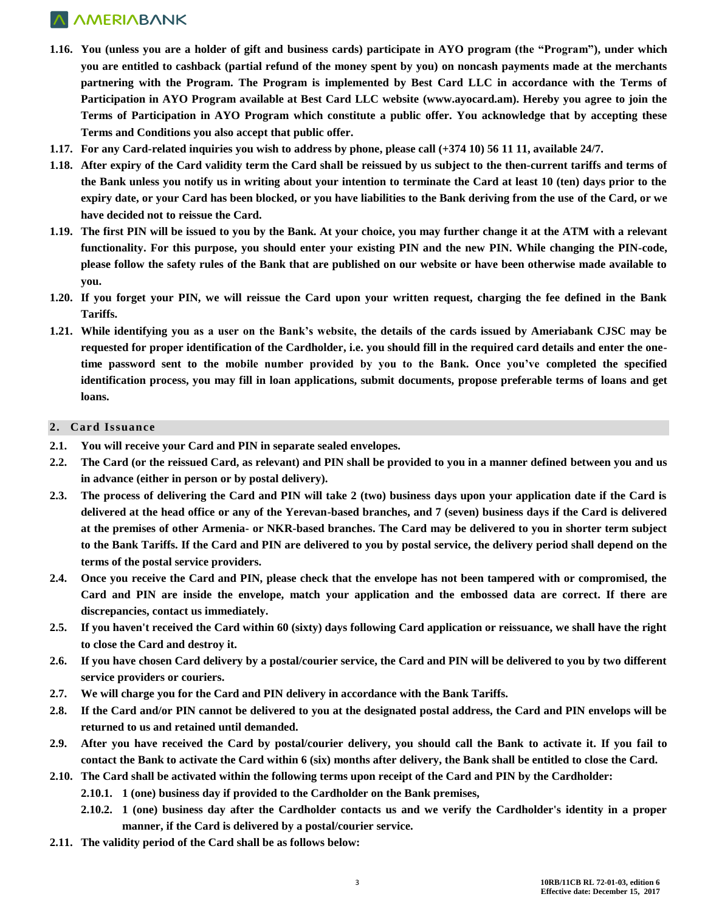- **1.16. You (unless you are a holder of gift and business cards) participate in AYO program (the "Program"), under which you are entitled to cashback (partial refund of the money spent by you) on noncash payments made at the merchants partnering with the Program. The Program is implemented by Best Card LLC in accordance with the Terms of Participation in AYO Program available at Best Card LLC website [\(www.ayocard.am\)](http://www.ayocard.am/). Hereby you agree to join the Terms of Participation in AYO Program which constitute a public offer. You acknowledge that by accepting these Terms and Conditions you also accept that public offer.**
- **1.17. For any Card-related inquiries you wish to address by phone, please call (+374 10) 56 11 11, available 24/7.**
- **1.18. After expiry of the Card validity term the Card shall be reissued by us subject to the then-current tariffs and terms of the Bank unless you notify us in writing about your intention to terminate the Card at least 10 (ten) days prior to the expiry date, or your Card has been blocked, or you have liabilities to the Bank deriving from the use of the Card, or we have decided not to reissue the Card.**
- **1.19. The first PIN will be issued to you by the Bank. At your choice, you may further change it at the ATM with a relevant functionality. For this purpose, you should enter your existing PIN and the new PIN. While changing the PIN-code, please follow the safety rules of the Bank that are published on our website or have been otherwise made available to you.**
- **1.20. If you forget your PIN, we will reissue the Card upon your written request, charging the fee defined in the Bank Tariffs.**
- **1.21. While identifying you as a user on the Bank's website, the details of the cards issued by Ameriabank CJSC may be requested for proper identification of the Cardholder, i.e. you should fill in the required card details and enter the onetime password sent to the mobile number provided by you to the Bank. Once you've completed the specified identification process, you may fill in loan applications, submit documents, propose preferable terms of loans and get loans.**

#### **2. Card Issuance**

- **2.1. You will receive your Card and PIN in separate sealed envelopes.**
- **2.2. The Card (or the reissued Card, as relevant) and PIN shall be provided to you in a manner defined between you and us in advance (either in person or by postal delivery).**
- **2.3. The process of delivering the Card and PIN will take 2 (two) business days upon your application date if the Card is delivered at the head office or any of the Yerevan-based branches, and 7 (seven) business days if the Card is delivered at the premises of other Armenia- or NKR-based branches. The Card may be delivered to you in shorter term subject to the Bank Tariffs. If the Card and PIN are delivered to you by postal service, the delivery period shall depend on the terms of the postal service providers.**
- **2.4. Once you receive the Card and PIN, please check that the envelope has not been tampered with or compromised, the Card and PIN are inside the envelope, match your application and the embossed data are correct. If there are discrepancies, contact us immediately.**
- **2.5. If you haven't received the Card within 60 (sixty) days following Card application or reissuance, we shall have the right to close the Card and destroy it.**
- **2.6. If you have chosen Card delivery by a postal/courier service, the Card and PIN will be delivered to you by two different service providers or couriers.**
- **2.7. We will charge you for the Card and PIN delivery in accordance with the Bank Tariffs.**
- **2.8. If the Card and/or PIN cannot be delivered to you at the designated postal address, the Card and PIN envelops will be returned to us and retained until demanded.**
- **2.9. After you have received the Card by postal/courier delivery, you should call the Bank to activate it. If you fail to contact the Bank to activate the Card within 6 (six) months after delivery, the Bank shall be entitled to close the Card.**
- **2.10. The Card shall be activated within the following terms upon receipt of the Card and PIN by the Cardholder:**
	- **2.10.1. 1 (one) business day if provided to the Cardholder on the Bank premises,**
	- **2.10.2. 1 (one) business day after the Cardholder contacts us and we verify the Cardholder's identity in a proper manner, if the Card is delivered by a postal/courier service.**
- **2.11. The validity period of the Card shall be as follows below:**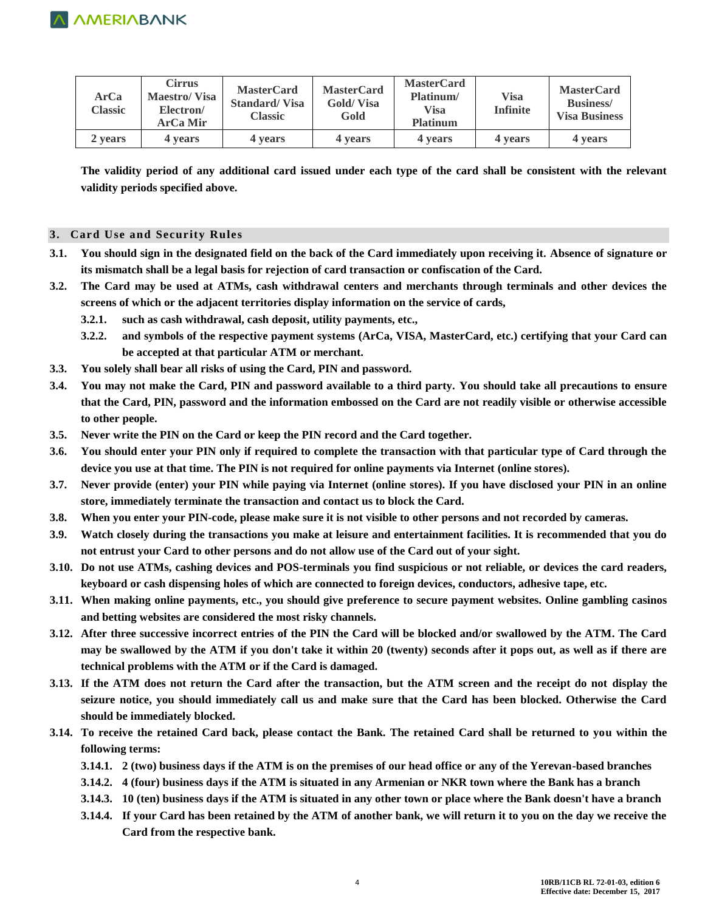| ArCa<br><b>Classic</b> | <b>Cirrus</b><br><b>Maestro/Visa</b><br>Electron/<br><b>ArCa Mir</b> | <b>MasterCard</b><br><b>Standard/Visa</b><br><b>Classic</b> | <b>MasterCard</b><br><b>Gold/Visa</b><br>Gold | <b>MasterCard</b><br>Platinum/<br>Visa<br><b>Platinum</b> | <b>Visa</b><br><b>Infinite</b> | <b>MasterCard</b><br><b>Business</b> /<br><b>Visa Business</b> |
|------------------------|----------------------------------------------------------------------|-------------------------------------------------------------|-----------------------------------------------|-----------------------------------------------------------|--------------------------------|----------------------------------------------------------------|
| 2 years                | 4 years                                                              | 4 years                                                     | 4 years                                       | 4 years                                                   | 4 years                        | 4 years                                                        |

**The validity period of any additional card issued under each type of the card shall be consistent with the relevant validity periods specified above.**

#### **3. Card Use and Security Rules**

- **3.1. You should sign in the designated field on the back of the Card immediately upon receiving it. Absence of signature or its mismatch shall be a legal basis for rejection of card transaction or confiscation of the Card.**
- **3.2. The Card may be used at ATMs, cash withdrawal centers and merchants through terminals and other devices the screens of which or the adjacent territories display information on the service of cards,**
	- **3.2.1. such as cash withdrawal, cash deposit, utility payments, etc.,**
	- **3.2.2. and symbols of the respective payment systems (ArCa, VISA, MasterCard, etc.) certifying that your Card can be accepted at that particular ATM or merchant.**
- **3.3. You solely shall bear all risks of using the Card, PIN and password.**
- **3.4. You may not make the Card, PIN and password available to a third party. You should take all precautions to ensure that the Card, PIN, password and the information embossed on the Card are not readily visible or otherwise accessible to other people.**
- **3.5. Never write the PIN on the Card or keep the PIN record and the Card together.**
- **3.6. You should enter your PIN only if required to complete the transaction with that particular type of Card through the device you use at that time. The PIN is not required for online payments via Internet (online stores).**
- **3.7. Never provide (enter) your PIN while paying via Internet (online stores). If you have disclosed your PIN in an online store, immediately terminate the transaction and contact us to block the Card.**
- **3.8. When you enter your PIN-code, please make sure it is not visible to other persons and not recorded by cameras.**
- **3.9. Watch closely during the transactions you make at leisure and entertainment facilities. It is recommended that you do not entrust your Card to other persons and do not allow use of the Card out of your sight.**
- **3.10. Do not use ATMs, cashing devices and POS-terminals you find suspicious or not reliable, or devices the card readers, keyboard or cash dispensing holes of which are connected to foreign devices, conductors, adhesive tape, etc.**
- **3.11. When making online payments, etc., you should give preference to secure payment websites. Online gambling casinos and betting websites are considered the most risky channels.**
- **3.12. After three successive incorrect entries of the PIN the Card will be blocked and/or swallowed by the ATM. The Card may be swallowed by the ATM if you don't take it within 20 (twenty) seconds after it pops out, as well as if there are technical problems with the ATM or if the Card is damaged.**
- **3.13. If the ATM does not return the Card after the transaction, but the ATM screen and the receipt do not display the seizure notice, you should immediately call us and make sure that the Card has been blocked. Otherwise the Card should be immediately blocked.**
- **3.14. To receive the retained Card back, please contact the Bank. The retained Card shall be returned to you within the following terms:**
	- **3.14.1. 2 (two) business days if the ATM is on the premises of our head office or any of the Yerevan-based branches**
	- **3.14.2. 4 (four) business days if the ATM is situated in any Armenian or NKR town where the Bank has a branch**
	- **3.14.3. 10 (ten) business days if the ATM is situated in any other town or place where the Bank doesn't have a branch**
	- **3.14.4. If your Card has been retained by the ATM of another bank, we will return it to you on the day we receive the Card from the respective bank.**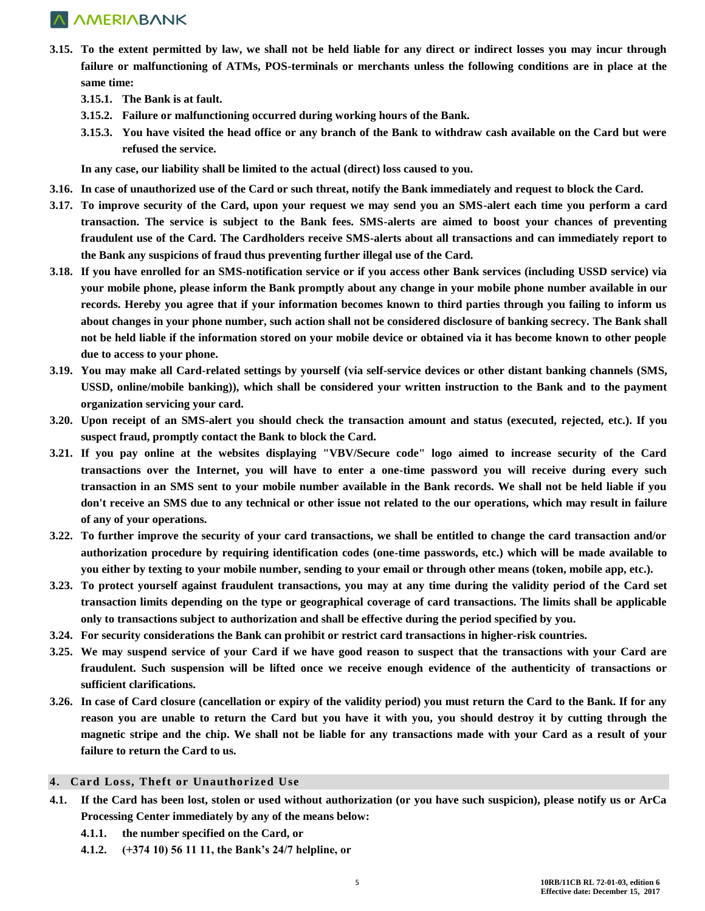- **3.15. To the extent permitted by law, we shall not be held liable for any direct or indirect losses you may incur through failure or malfunctioning of ATMs, POS-terminals or merchants unless the following conditions are in place at the same time:** 
	- **3.15.1. The Bank is at fault.**
	- **3.15.2. Failure or malfunctioning occurred during working hours of the Bank.**
	- **3.15.3. You have visited the head office or any branch of the Bank to withdraw cash available on the Card but were refused the service.**

**In any case, our liability shall be limited to the actual (direct) loss caused to you.**

- **3.16. In case of unauthorized use of the Card or such threat, notify the Bank immediately and request to block the Card.**
- **3.17. To improve security of the Card, upon your request we may send you an SMS-alert each time you perform a card transaction. The service is subject to the Bank fees. SMS-alerts are aimed to boost your chances of preventing fraudulent use of the Card. The Cardholders receive SMS-alerts about all transactions and can immediately report to the Bank any suspicions of fraud thus preventing further illegal use of the Card.**
- **3.18. If you have enrolled for an SMS-notification service or if you access other Bank services (including USSD service) via your mobile phone, please inform the Bank promptly about any change in your mobile phone number available in our records. Hereby you agree that if your information becomes known to third parties through you failing to inform us about changes in your phone number, such action shall not be considered disclosure of banking secrecy. The Bank shall not be held liable if the information stored on your mobile device or obtained via it has become known to other people due to access to your phone.**
- **3.19. You may make all Card-related settings by yourself (via self-service devices or other distant banking channels (SMS, USSD, online/mobile banking)), which shall be considered your written instruction to the Bank and to the payment organization servicing your card.**
- **3.20. Upon receipt of an SMS-alert you should check the transaction amount and status (executed, rejected, etc.). If you suspect fraud, promptly contact the Bank to block the Card.**
- **3.21. If you pay online at the websites displaying "VBV/Secure code" logo aimed to increase security of the Card transactions over the Internet, you will have to enter a one-time password you will receive during every such transaction in an SMS sent to your mobile number available in the Bank records. We shall not be held liable if you don't receive an SMS due to any technical or other issue not related to the our operations, which may result in failure of any of your operations.**
- **3.22. To further improve the security of your card transactions, we shall be entitled to change the card transaction and/or authorization procedure by requiring identification codes (one-time passwords, etc.) which will be made available to you either by texting to your mobile number, sending to your email or through other means (token, mobile app, etc.).**
- **3.23. To protect yourself against fraudulent transactions, you may at any time during the validity period of the Card set transaction limits depending on the type or geographical coverage of card transactions. The limits shall be applicable only to transactions subject to authorization and shall be effective during the period specified by you.**
- **3.24. For security considerations the Bank can prohibit or restrict card transactions in higher-risk countries.**
- **3.25. We may suspend service of your Card if we have good reason to suspect that the transactions with your Card are fraudulent. Such suspension will be lifted once we receive enough evidence of the authenticity of transactions or sufficient clarifications.**
- **3.26. In case of Card closure (cancellation or expiry of the validity period) you must return the Card to the Bank. If for any reason you are unable to return the Card but you have it with you, you should destroy it by cutting through the magnetic stripe and the chip. We shall not be liable for any transactions made with your Card as a result of your failure to return the Card to us.**

#### **4. Card Loss, Theft or Unauthorized Use**

- **4.1. If the Card has been lost, stolen or used without authorization (or you have such suspicion), please notify us or ArCa Processing Center immediately by any of the means below:**
	- **4.1.1. the number specified on the Card, or**
	- **4.1.2. (+374 10) 56 11 11, the Bank's 24/7 helpline, or**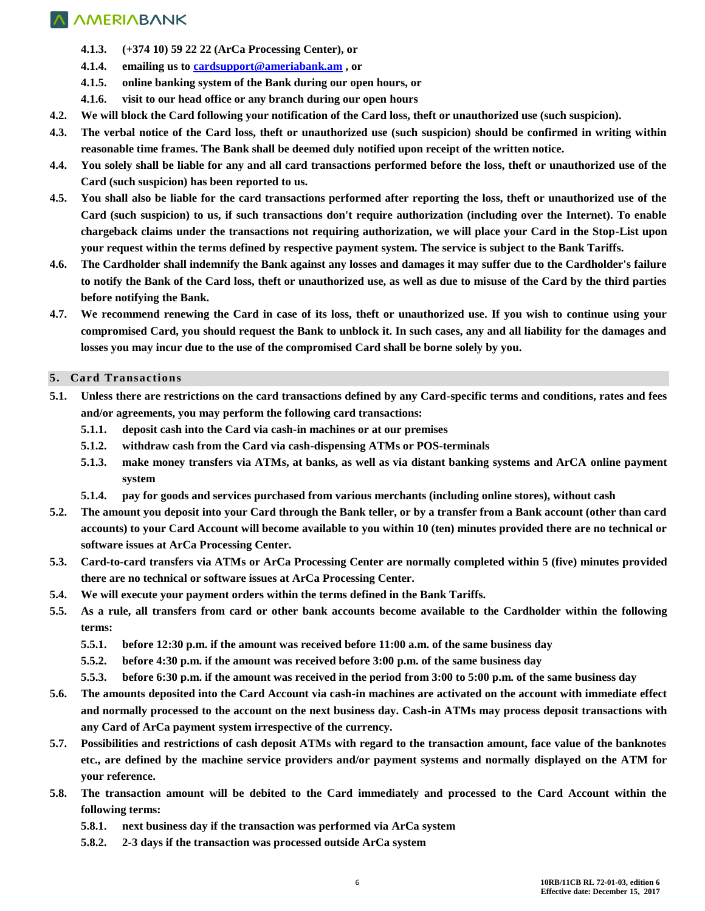- **4.1.3. (+374 10) 59 22 22 (ArCa Processing Center), or**
- **4.1.4. emailing us to [cardsupport@ameriabank.am](mailto:cardsupport@ameriabank.am) , or**
- **4.1.5. online banking system of the Bank during our open hours, or**
- **4.1.6. visit to our head office or any branch during our open hours**
- **4.2. We will block the Card following your notification of the Card loss, theft or unauthorized use (such suspicion).**
- **4.3. The verbal notice of the Card loss, theft or unauthorized use (such suspicion) should be confirmed in writing within reasonable time frames. The Bank shall be deemed duly notified upon receipt of the written notice.**
- **4.4. You solely shall be liable for any and all card transactions performed before the loss, theft or unauthorized use of the Card (such suspicion) has been reported to us.**
- **4.5. You shall also be liable for the card transactions performed after reporting the loss, theft or unauthorized use of the Card (such suspicion) to us, if such transactions don't require authorization (including over the Internet). To enable chargeback claims under the transactions not requiring authorization, we will place your Card in the Stop-List upon your request within the terms defined by respective payment system. The service is subject to the Bank Tariffs.**
- **4.6. The Cardholder shall indemnify the Bank against any losses and damages it may suffer due to the Cardholder's failure to notify the Bank of the Card loss, theft or unauthorized use, as well as due to misuse of the Card by the third parties before notifying the Bank.**
- **4.7. We recommend renewing the Card in case of its loss, theft or unauthorized use. If you wish to continue using your compromised Card, you should request the Bank to unblock it. In such cases, any and all liability for the damages and losses you may incur due to the use of the compromised Card shall be borne solely by you.**

#### **5. Card Transactions**

- **5.1. Unless there are restrictions on the card transactions defined by any Card-specific terms and conditions, rates and fees and/or agreements, you may perform the following card transactions:**
	- **5.1.1. deposit cash into the Card via cash-in machines or at our premises**
	- **5.1.2. withdraw cash from the Card via cash-dispensing ATMs or POS-terminals**
	- **5.1.3. make money transfers via ATMs, at banks, as well as via distant banking systems and ArCA online payment system**
	- **5.1.4. pay for goods and services purchased from various merchants (including online stores), without cash**
- **5.2. The amount you deposit into your Card through the Bank teller, or by a transfer from a Bank account (other than card accounts) to your Card Account will become available to you within 10 (ten) minutes provided there are no technical or software issues at ArCa Processing Center.**
- **5.3. Card-to-card transfers via ATMs or ArCa Processing Center are normally completed within 5 (five) minutes provided there are no technical or software issues at ArCa Processing Center.**
- **5.4. We will execute your payment orders within the terms defined in the Bank Tariffs.**
- **5.5. As a rule, all transfers from card or other bank accounts become available to the Cardholder within the following terms:**
	- **5.5.1. before 12:30 p.m. if the amount was received before 11:00 a.m. of the same business day**
	- **5.5.2. before 4:30 p.m. if the amount was received before 3:00 p.m. of the same business day**
	- **5.5.3. before 6:30 p.m. if the amount was received in the period from 3:00 to 5:00 p.m. of the same business day**
- **5.6. The amounts deposited into the Card Account via cash-in machines are activated on the account with immediate effect and normally processed to the account on the next business day. Cash-in ATMs may process deposit transactions with any Card of ArCa payment system irrespective of the currency.**
- **5.7. Possibilities and restrictions of cash deposit ATMs with regard to the transaction amount, face value of the banknotes etc., are defined by the machine service providers and/or payment systems and normally displayed on the ATM for your reference.**
- **5.8. The transaction amount will be debited to the Card immediately and processed to the Card Account within the following terms:**
	- **5.8.1. next business day if the transaction was performed via ArCa system**
	- **5.8.2. 2-3 days if the transaction was processed outside ArCa system**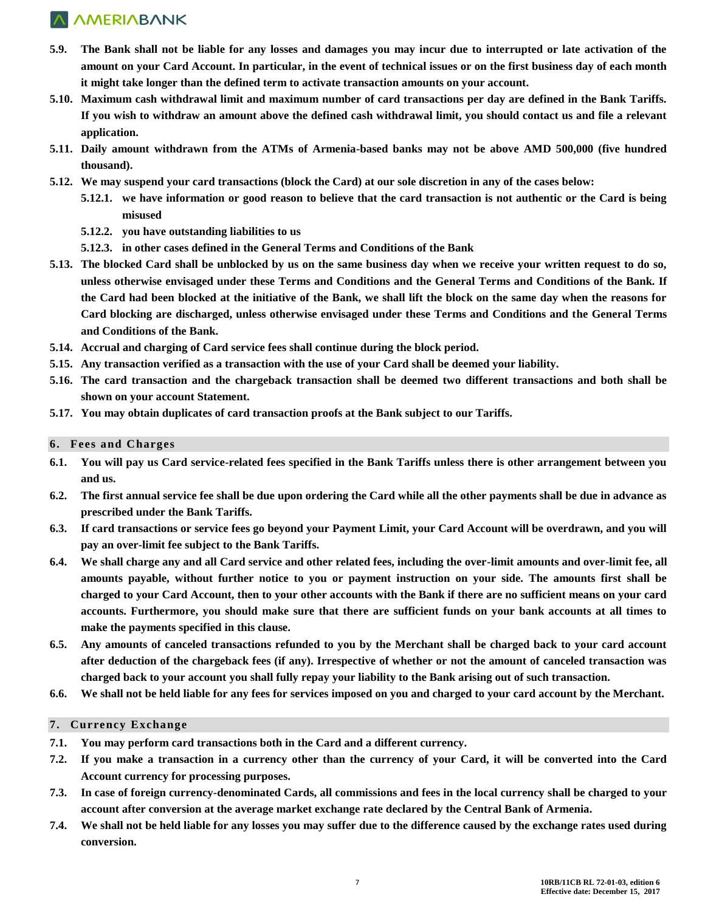- **5.9. The Bank shall not be liable for any losses and damages you may incur due to interrupted or late activation of the amount on your Card Account. In particular, in the event of technical issues or on the first business day of each month it might take longer than the defined term to activate transaction amounts on your account.**
- **5.10. Maximum cash withdrawal limit and maximum number of card transactions per day are defined in the Bank Tariffs. If you wish to withdraw an amount above the defined cash withdrawal limit, you should contact us and file a relevant application.**
- **5.11. Daily amount withdrawn from the ATMs of Armenia-based banks may not be above AMD 500,000 (five hundred thousand).**
- **5.12. We may suspend your card transactions (block the Card) at our sole discretion in any of the cases below:**
	- **5.12.1. we have information or good reason to believe that the card transaction is not authentic or the Card is being misused**
	- **5.12.2. you have outstanding liabilities to us**
	- **5.12.3. in other cases defined in the General Terms and Conditions of the Bank**
- **5.13. The blocked Card shall be unblocked by us on the same business day when we receive your written request to do so, unless otherwise envisaged under these Terms and Conditions and the General Terms and Conditions of the Bank. If the Card had been blocked at the initiative of the Bank, we shall lift the block on the same day when the reasons for Card blocking are discharged, unless otherwise envisaged under these Terms and Conditions and the General Terms and Conditions of the Bank.**
- **5.14. Accrual and charging of Card service fees shall continue during the block period.**
- **5.15. Any transaction verified as a transaction with the use of your Card shall be deemed your liability.**
- **5.16. The card transaction and the chargeback transaction shall be deemed two different transactions and both shall be shown on your account Statement.**
- **5.17. You may obtain duplicates of card transaction proofs at the Bank subject to our Tariffs.**

#### **6. Fees and Charges**

- **6.1. You will pay us Card service-related fees specified in the Bank Tariffs unless there is other arrangement between you and us.**
- **6.2. The first annual service fee shall be due upon ordering the Card while all the other payments shall be due in advance as prescribed under the Bank Tariffs.**
- **6.3. If card transactions or service fees go beyond your Payment Limit, your Card Account will be overdrawn, and you will pay an over-limit fee subject to the Bank Tariffs.**
- **6.4. We shall charge any and all Card service and other related fees, including the over-limit amounts and over-limit fee, all amounts payable, without further notice to you or payment instruction on your side. The amounts first shall be charged to your Card Account, then to your other accounts with the Bank if there are no sufficient means on your card accounts. Furthermore, you should make sure that there are sufficient funds on your bank accounts at all times to make the payments specified in this clause.**
- **6.5. Any amounts of canceled transactions refunded to you by the Merchant shall be charged back to your card account after deduction of the chargeback fees (if any). Irrespective of whether or not the amount of canceled transaction was charged back to your account you shall fully repay your liability to the Bank arising out of such transaction.**
- **6.6. We shall not be held liable for any fees for services imposed on you and charged to your card account by the Merchant.**

#### **7. Currency Exchange**

- **7.1. You may perform card transactions both in the Card and a different currency.**
- **7.2. If you make a transaction in a currency other than the currency of your Card, it will be converted into the Card Account currency for processing purposes.**
- **7.3. In case of foreign currency-denominated Cards, all commissions and fees in the local currency shall be charged to your account after conversion at the average market exchange rate declared by the Central Bank of Armenia.**
- **7.4. We shall not be held liable for any losses you may suffer due to the difference caused by the exchange rates used during conversion.**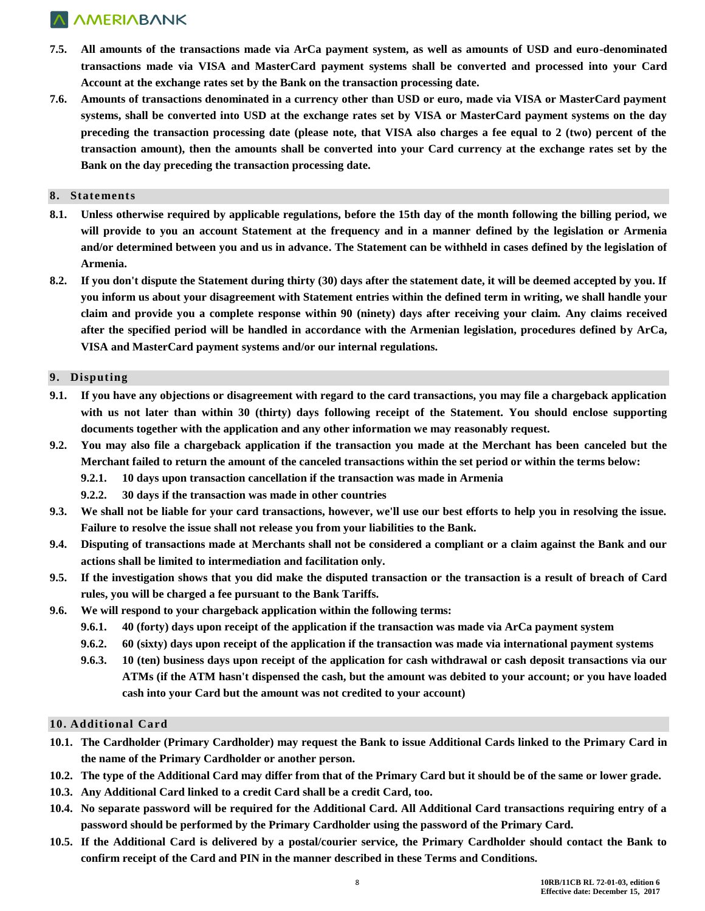- **7.5. All amounts of the transactions made via ArCa payment system, as well as amounts of USD and euro-denominated transactions made via VISA and MasterCard payment systems shall be converted and processed into your Card Account at the exchange rates set by the Bank on the transaction processing date.**
- **7.6. Amounts of transactions denominated in a currency other than USD or euro, made via VISA or MasterCard payment systems, shall be converted into USD at the exchange rates set by VISA or MasterCard payment systems on the day preceding the transaction processing date (please note, that VISA also charges a fee equal to 2 (two) percent of the transaction amount), then the amounts shall be converted into your Card currency at the exchange rates set by the Bank on the day preceding the transaction processing date.**

#### **8. Statements**

- **8.1. Unless otherwise required by applicable regulations, before the 15th day of the month following the billing period, we will provide to you an account Statement at the frequency and in a manner defined by the legislation or Armenia and/or determined between you and us in advance. The Statement can be withheld in cases defined by the legislation of Armenia.**
- **8.2. If you don't dispute the Statement during thirty (30) days after the statement date, it will be deemed accepted by you. If you inform us about your disagreement with Statement entries within the defined term in writing, we shall handle your claim and provide you a complete response within 90 (ninety) days after receiving your claim. Any claims received after the specified period will be handled in accordance with the Armenian legislation, procedures defined by ArCa, VISA and MasterCard payment systems and/or our internal regulations.**

### **9. Disputing**

- **9.1. If you have any objections or disagreement with regard to the card transactions, you may file a chargeback application with us not later than within 30 (thirty) days following receipt of the Statement. You should enclose supporting documents together with the application and any other information we may reasonably request.**
- **9.2. You may also file a chargeback application if the transaction you made at the Merchant has been canceled but the Merchant failed to return the amount of the canceled transactions within the set period or within the terms below:**
	- **9.2.1. 10 days upon transaction cancellation if the transaction was made in Armenia**
	- **9.2.2. 30 days if the transaction was made in other countries**
- **9.3. We shall not be liable for your card transactions, however, we'll use our best efforts to help you in resolving the issue. Failure to resolve the issue shall not release you from your liabilities to the Bank.**
- **9.4. Disputing of transactions made at Merchants shall not be considered a compliant or a claim against the Bank and our actions shall be limited to intermediation and facilitation only.**
- **9.5. If the investigation shows that you did make the disputed transaction or the transaction is a result of breach of Card rules, you will be charged a fee pursuant to the Bank Tariffs.**
- **9.6. We will respond to your chargeback application within the following terms:**
	- **9.6.1. 40 (forty) days upon receipt of the application if the transaction was made via ArCa payment system**
	- **9.6.2. 60 (sixty) days upon receipt of the application if the transaction was made via international payment systems**
	- **9.6.3. 10 (ten) business days upon receipt of the application for cash withdrawal or cash deposit transactions via our ATMs (if the ATM hasn't dispensed the cash, but the amount was debited to your account; or you have loaded cash into your Card but the amount was not credited to your account)**

#### **10. Additional Card**

- **10.1. The Cardholder (Primary Cardholder) may request the Bank to issue Additional Cards linked to the Primary Card in the name of the Primary Cardholder or another person.**
- **10.2. The type of the Additional Card may differ from that of the Primary Card but it should be of the same or lower grade.**
- **10.3. Any Additional Card linked to a credit Card shall be a credit Card, too.**
- **10.4. No separate password will be required for the Additional Card. All Additional Card transactions requiring entry of a password should be performed by the Primary Cardholder using the password of the Primary Card.**
- **10.5. If the Additional Card is delivered by a postal/courier service, the Primary Cardholder should contact the Bank to confirm receipt of the Card and PIN in the manner described in these Terms and Conditions.**